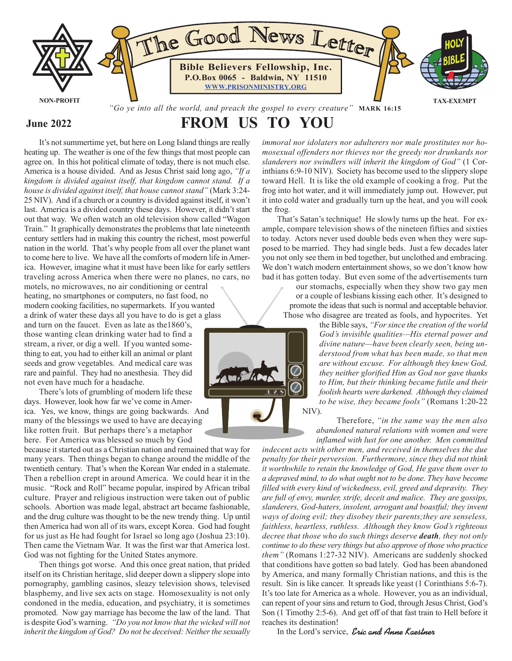

### **June 2022**

# **FROM US TO YOU**

It's not summertime yet, but here on Long Island things are really heating up. The weather is one of the few things that most people can agree on. In this hot political climate of today, there is not much else. America is a house divided. And as Jesus Christ said long ago, *"If a kingdom is divided against itself, that kingdom cannot stand. If a house is divided against itself, that house cannot stand"* (Mark 3:24- 25 NIV). And if a church or a country is divided against itself, it won't last. America is a divided country these days. However, it didn't start out that way. We often watch an old television show called "Wagon Train." It graphically demonstrates the problems that late nineteenth century settlers had in making this country the richest, most powerful nation in the world. That's why people from all over the planet want to come here to live. We have all the comforts of modern life in America. However, imagine what it must have been like for early settlers traveling across America when there were no planes, no cars, no motels, no microwaves, no air conditioning or central

heating, no smartphones or computers, no fast food, no modern cooking facilities, no supermarkets. If you wanted a drink of water these days all you have to do is get a glass

and turn on the faucet. Even as late as the1860's, those wanting clean drinking water had to find a stream, a river, or dig a well. If you wanted something to eat, you had to either kill an animal or plant seeds and grow vegetables. And medical care was rare and painful. They had no anesthesia. They did not even have much for a headache.

There's lots of grumbling of modern life these days. However, look how far we've come in America. Yes, we know, things are going backwards. And many of the blessings we used to have are decaying like rotten fruit. But perhaps there's a metaphor here. For America was blessed so much by God

because it started out as a Christian nation and remained that way for many years. Then things began to change around the middle of the twentieth century. That's when the Korean War ended in a stalemate. Then a rebellion crept in around America. We could hear it in the music. "Rock and Roll" became popular, inspired by African tribal culture. Prayer and religious instruction were taken out of public schools. Abortion was made legal, abstract art became fashionable, and the drug culture was thought to be the new trendy thing. Up until then America had won all of its wars, except Korea. God had fought for us just as He had fought for Israel so long ago (Joshua 23:10). Then came the Vietnam War. It was the first war that America lost. God was not fighting for the United States anymore.

Then things got worse. And this once great nation, that prided itself on its Christian heritage, slid deeper down a slippery slope into pornography, gambling casinos, sleazy television shows, televised blasphemy, and live sex acts on stage. Homosexuality is not only condoned in the media, education, and psychiatry, it is sometimes promoted. Now gay marriage has become the law of the land. That is despite God's warning. *"Do you not know that the wicked will not inherit the kingdom of God? Do not be deceived: Neither the sexually* *immoral nor idolaters nor adulterers nor male prostitutes nor homosexual offenders nor thieves nor the greedy nor drunkards nor slanderers nor swindlers will inherit the kingdom of God"* (1 Corinthians 6:9-10 NIV). Society has become used to the slippery slope toward Hell. It is like the old example of cooking a frog. Put the frog into hot water, and it will immediately jump out. However, put it into cold water and gradually turn up the heat, and you will cook the frog.

That's Satan's technique! He slowly turns up the heat. For example, compare television shows of the nineteen fifties and sixties to today. Actors never used double beds even when they were supposed to be married. They had single beds. Just a few decades later you not only see them in bed together, but unclothed and embracing. We don't watch modern entertainment shows, so we don't know how bad it has gotten today. But even some of the advertisements turn

our stomachs, especially when they show two gay men or a couple of lesbians kissing each other. It's designed to promote the ideas that such is normal and acceptable behavior. Those who disagree are treated as fools, and hypocrites. Yet

> the Bible says, *"For since the creation of the world God's invisible qualities—His eternal power and divine nature—have been clearly seen, being understood from what has been made, so that men are without excuse. For although they knew God, they neither glorified Him as God nor gave thanks to Him, but their thinking became futile and their foolish hearts were darkened. Although they claimed to be wise, they became fools"* (Romans 1:20-22

 Therefore, *"in the same way the men also abandoned natural relations with women and were inflamed with lust for one another. Men committed*

*indecent acts with other men, and received in themselves the due penalty for their perversion. Furthermore, since they did not think it worthwhile to retain the knowledge of God, He gave them over to a depraved mind, to do what ought not to be done. They have become filled with every kind of wickedness, evil, greed and depravity. They are full of envy, murder, strife, deceit and malice. They are gossips, slanderers, God-haters, insolent, arrogant and boastful; they invent ways of doing evil; they disobey their parents;they are senseless, faithless, heartless, ruthless. Although they know God's righteous decree that those who do such things deserve death, they not only continue to do these very things but also approve of those who practice them"* (Romans 1:27-32 NIV). Americans are suddenly shocked that conditions have gotten so bad lately. God has been abandoned by America, and many formally Christian nations, and this is the result. Sin is like cancer. It spreads like yeast (1 Corinthians 5:6-7). It's too late for America as a whole. However, you as an individual, can repent of your sins and return to God, through Jesus Christ, God's Son (1 Timothy 2:5-6). And get off of that fast train to Hell before it reaches its destination!

In the Lord's service, *Eric and Anne Kaestner* 

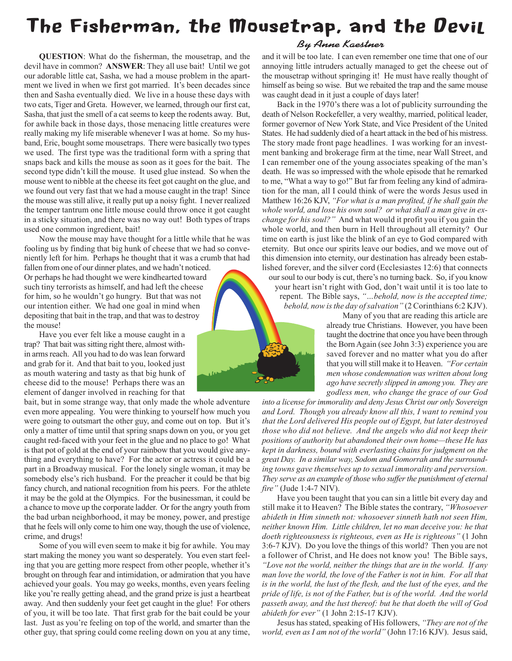# The Fisherman, the Mousetrap, and the Devil

**QUESTION**: What do the fisherman, the mousetrap, and the devil have in common? **ANSWER**: They all use bait! Until we got our adorable little cat, Sasha, we had a mouse problem in the apartment we lived in when we first got married. It's been decades since then and Sasha eventually died. We live in a house these days with two cats, Tiger and Greta. However, we learned, through our first cat, Sasha, that just the smell of a cat seems to keep the rodents away. But, for awhile back in those days, those menacing little creatures were really making my life miserable whenever I was at home. So my husband, Eric, bought some mousetraps. There were basically two types we used. The first type was the traditional form with a spring that snaps back and kills the mouse as soon as it goes for the bait. The second type didn't kill the mouse. It used glue instead. So when the mouse went to nibble at the cheese its feet got caught on the glue, and we found out very fast that we had a mouse caught in the trap! Since the mouse was still alive, it really put up a noisy fight. I never realized the temper tantrum one little mouse could throw once it got caught in a sticky situation, and there was no way out! Both types of traps used one common ingredient, bait!

Now the mouse may have thought for a little while that he was fooling us by finding that big hunk of cheese that we had so conveniently left for him. Perhaps he thought that it was a crumb that had

fallen from one of our dinner plates, and we hadn't noticed. Or perhaps he had thought we were kindhearted toward such tiny terrorists as himself, and had left the cheese for him, so he wouldn't go hungry. But that was not our intention either. We had one goal in mind when depositing that bait in the trap, and that was to destroy the mouse!

Have you ever felt like a mouse caught in a trap? That bait was sitting right there, almost within arms reach. All you had to do was lean forward and grab for it. And that bait to you, looked just as mouth watering and tasty as that big hunk of cheese did to the mouse! Perhaps there was an element of danger involved in reaching for that

bait, but in some strange way, that only made the whole adventure even more appealing. You were thinking to yourself how much you were going to outsmart the other guy, and come out on top. But it's only a matter of time until that spring snaps down on you, or you get caught red-faced with your feet in the glue and no place to go! What is that pot of gold at the end of your rainbow that you would give anything and everything to have? For the actor or actress it could be a part in a Broadway musical. For the lonely single woman, it may be somebody else's rich husband. For the preacher it could be that big fancy church, and national recognition from his peers. For the athlete it may be the gold at the Olympics. For the businessman, it could be a chance to move up the corporate ladder. Or for the angry youth from the bad urban neighborhood, it may be money, power, and prestige that he feels will only come to him one way, though the use of violence, crime, and drugs!

Some of you will even seem to make it big for awhile. You may start making the money you want so desperately. You even start feeling that you are getting more respect from other people, whether it's brought on through fear and intimidation, or admiration that you have achieved your goals. You may go weeks, months, even years feeling like you're really getting ahead, and the grand prize is just a heartbeat away. And then suddenly your feet get caught in the glue! For others of you, it will be too late. That first grab for the bait could be your last. Just as you're feeling on top of the world, and smarter than the other guy, that spring could come reeling down on you at any time,



#### By Anne Kaestner

and it will be too late. I can even remember one time that one of our annoying little intruders actually managed to get the cheese out of the mousetrap without springing it! He must have really thought of himself as being so wise. But we rebaited the trap and the same mouse was caught dead in it just a couple of days later!

Back in the 1970's there was a lot of publicity surrounding the death of Nelson Rockefeller, a very wealthy, married, political leader, former governor of New York State, and Vice President of the United States. He had suddenly died of a heart attack in the bed of his mistress. The story made front page headlines. I was working for an investment banking and brokerage firm at the time, near Wall Street, and I can remember one of the young associates speaking of the man's death. He was so impressed with the whole episode that he remarked to me, "What a way to go!" But far from feeling any kind of admiration for the man, all I could think of were the words Jesus used in Matthew 16:26 KJV, *"For what is a man profited, if he shall gain the whole world, and lose his own soul? or what shall a man give in exchange for his soul?"* And what would it profit you if you gain the whole world, and then burn in Hell throughout all eternity? Our time on earth is just like the blink of an eye to God compared with eternity. But once our spirits leave our bodies, and we move out of this dimension into eternity, our destination has already been established forever, and the silver cord (Ecclesiastes 12:6) that connects our soul to our body is cut, there's no turning back. So, if you know

your heart isn't right with God, don't wait until it is too late to repent. The Bible says, *"…behold, now is the accepted time; behold, now is the day of salvation"* (2 Corinthians 6:2 KJV).

 Many of you that are reading this article are already true Christians. However, you have been taught the doctrine that once you have been through the Born Again (see John 3:3) experience you are saved forever and no matter what you do after that you will still make it to Heaven. *"For certain men whose condemnation was written about long ago have secretly slipped in among you. They are godless men, who change the grace of our God*

*into a license for immorality and deny Jesus Christ our only Sovereign and Lord. Though you already know all this, I want to remind you that the Lord delivered His people out of Egypt, but later destroyed those who did not believe. And the angels who did not keep their positions of authority but abandoned their own home—these He has kept in darkness, bound with everlasting chains for judgment on the great Day. In a similar way, Sodom and Gomorrah and the surrounding towns gave themselves up to sexual immorality and perversion. They serve as an example of those who suffer the punishment of eternal fire"* (Jude 1:4-7 NIV).

Have you been taught that you can sin a little bit every day and still make it to Heaven? The Bible states the contrary, *"Whosoever abideth in Him sinneth not: whosoever sinneth hath not seen Him, neither known Him. Little children, let no man deceive you: he that doeth righteousness is righteous, even as He is righteous"* (1 John 3:6-7 KJV). Do you love the things of this world? Then you are not a follower of Christ, and He does not know you! The Bible says, *"Love not the world, neither the things that are in the world. If any man love the world, the love of the Father is not in him. For all that is in the world, the lust of the flesh, and the lust of the eyes, and the pride of life, is not of the Father, but is of the world. And the world passeth away, and the lust thereof: but he that doeth the will of God abideth for ever"* (1 John 2:15-17 KJV).

Jesus has stated, speaking of His followers, *"They are not of the world, even as I am not of the world"* (John 17:16 KJV). Jesus said,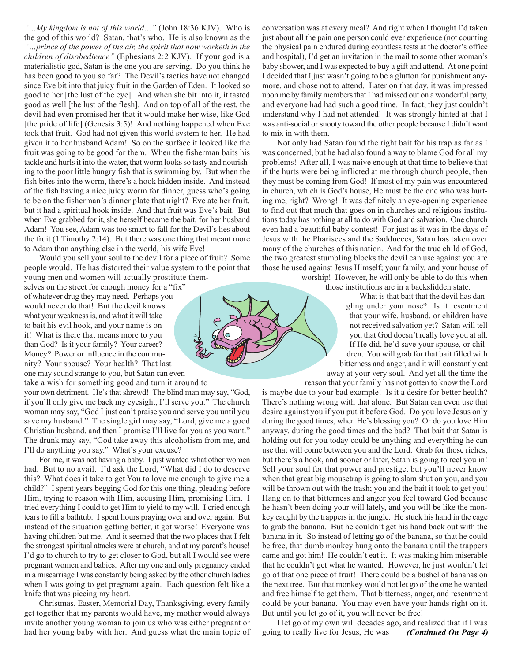*"…My kingdom is not of this world…"* (John 18:36 KJV). Who is the god of this world? Satan, that's who. He is also known as the *"…prince of the power of the air, the spirit that now worketh in the children of disobedience"* (Ephesians 2:2 KJV). If your god is a materialistic god, Satan is the one you are serving. Do you think he has been good to you so far? The Devil's tactics have not changed since Eve bit into that juicy fruit in the Garden of Eden. It looked so good to her [the lust of the eye]. And when she bit into it, it tasted good as well [the lust of the flesh]. And on top of all of the rest, the devil had even promised her that it would make her wise, like God [the pride of life] (Genesis 3:5)! And nothing happened when Eve took that fruit. God had not given this world system to her. He had given it to her husband Adam! So on the surface it looked like the fruit was going to be good for them. When the fisherman baits his tackle and hurls it into the water, that worm looks so tasty and nourishing to the poor little hungry fish that is swimming by. But when the fish bites into the worm, there's a hook hidden inside. And instead of the fish having a nice juicy worm for dinner, guess who's going to be on the fisherman's dinner plate that night? Eve ate her fruit, but it had a spiritual hook inside. And that fruit was Eve's bait. But when Eve grabbed for it, she herself became the bait, for her husband Adam! You see, Adam was too smart to fall for the Devil's lies about the fruit (1 Timothy 2:14). But there was one thing that meant more to Adam than anything else in the world, his wife Eve!

Would you sell your soul to the devil for a piece of fruit? Some people would. He has distorted their value system to the point that young men and women will actually prostitute them-

selves on the street for enough money for a "fix" of whatever drug they may need. Perhaps you would never do that! But the devil knows what your weakness is, and what it will take to bait his evil hook, and your name is on it! What is there that means more to you than God? Is it your family? Your career? Money? Power or influence in the community? Your spouse? Your health? That last one may sound strange to you, but Satan can even take a wish for something good and turn it around to

your own detriment. He's that shrewd! The blind man may say, "God, if you'll only give me back my eyesight, I'll serve you." The church woman may say, "God I just can't praise you and serve you until you save my husband." The single girl may say, "Lord, give me a good Christian husband, and then I promise I'll live for you as you want." The drunk may say, "God take away this alcoholism from me, and I'll do anything you say." What's your excuse?

For me, it was not having a baby. I just wanted what other women had. But to no avail. I'd ask the Lord, "What did I do to deserve this? What does it take to get You to love me enough to give me a child?" I spent years begging God for this one thing, pleading before Him, trying to reason with Him, accusing Him, promising Him. I tried everything I could to get Him to yield to my will. I cried enough tears to fill a bathtub. I spent hours praying over and over again. But instead of the situation getting better, it got worse! Everyone was having children but me. And it seemed that the two places that I felt the strongest spiritual attacks were at church, and at my parent's house! I'd go to church to try to get closer to God, but all I would see were pregnant women and babies. After my one and only pregnancy ended in a miscarriage I was constantly being asked by the other church ladies when I was going to get pregnant again. Each question felt like a knife that was piecing my heart.

Christmas, Easter, Memorial Day, Thanksgiving, every family get together that my parents would have, my mother would always invite another young woman to join us who was either pregnant or had her young baby with her. And guess what the main topic of

conversation was at every meal? And right when I thought I'd taken just about all the pain one person could ever experience (not counting the physical pain endured during countless tests at the doctor's office and hospital), I'd get an invitation in the mail to some other woman's baby shower, and I was expected to buy a gift and attend. At one point I decided that I just wasn't going to be a glutton for punishment anymore, and chose not to attend. Later on that day, it was impressed upon me by family members that I had missed out on a wonderful party, and everyone had had such a good time. In fact, they just couldn't understand why I had not attended! It was strongly hinted at that I was anti-social or snooty toward the other people because I didn't want to mix in with them.

Not only had Satan found the right bait for his trap as far as I was concerned, but he had also found a way to blame God for all my problems! After all, I was naive enough at that time to believe that if the hurts were being inflicted at me through church people, then they must be coming from God! If most of my pain was encountered in church, which is God's house, He must be the one who was hurting me, right? Wrong! It was definitely an eye-opening experience to find out that much that goes on in churches and religious institutions today has nothing at all to do with God and salvation. One church even had a beautiful baby contest! For just as it was in the days of Jesus with the Pharisees and the Sadducees, Satan has taken over many of the churches of this nation. And for the true child of God, the two greatest stumbling blocks the devil can use against you are those he used against Jesus Himself; your family, and your house of worship! However, he will only be able to do this when

those institutions are in a backslidden state.

 What is that bait that the devil has dangling under your nose? Is it resentment that your wife, husband, or children have not received salvation yet? Satan will tell you that God doesn't really love you at all. If He did, he'd save your spouse, or children. You will grab for that bait filled with bitterness and anger, and it will constantly eat away at your very soul. And yet all the time the

reason that your family has not gotten to know the Lord

is maybe due to your bad example! Is it a desire for better health? There's nothing wrong with that alone. But Satan can even use that desire against you if you put it before God. Do you love Jesus only during the good times, when He's blessing you? Or do you love Him anyway, during the good times and the bad? That bait that Satan is holding out for you today could be anything and everything he can use that will come between you and the Lord. Grab for those riches, but there's a hook, and sooner or later, Satan is going to reel you in! Sell your soul for that power and prestige, but you'll never know when that great big mousetrap is going to slam shut on you, and you will be thrown out with the trash; you and the bait it took to get you! Hang on to that bitterness and anger you feel toward God because he hasn't been doing your will lately, and you will be like the monkey caught by the trappers in the jungle. He stuck his hand in the cage to grab the banana. But he couldn't get his hand back out with the banana in it. So instead of letting go of the banana, so that he could be free, that dumb monkey hung onto the banana until the trappers came and got him! He couldn't eat it. It was making him miserable that he couldn't get what he wanted. However, he just wouldn't let go of that one piece of fruit! There could be a bushel of bananas on the next tree. But that monkey would not let go of the one he wanted and free himself to get them. That bitterness, anger, and resentment could be your banana. You may even have your hands right on it. But until you let go of it, you will never be free!

I let go of my own will decades ago, and realized that if I was going to really live for Jesus, He was *(Continued On Page 4)*